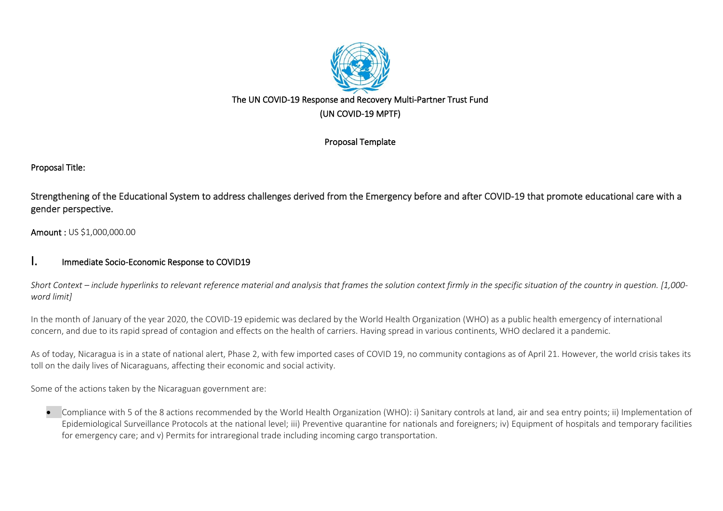

# The UN COVID-19 Response and Recovery Multi-Partner Trust Fund (UN COVID-19 MPTF)

# Proposal Template

# Proposal Title:

Strengthening of the Educational System to address challenges derived from the Emergency before and after COVID-19 that promote educational care with a gender perspective.

Amount : US \$1,000,000.00

# I. Immediate Socio-Economic Response to COVID19

Short Context - include hyperlinks to relevant reference material and analysis that frames the solution context firmly in the specific situation of the country in auestion. [1,000*word limit]*

In the month of January of the year 2020, the COVID-19 epidemic was declared by the World Health Organization (WHO) as a public health emergency of international concern, and due to its rapid spread of contagion and effects on the health of carriers. Having spread in various continents, WHO declared it a pandemic.

As of today, Nicaragua is in a state of national alert, Phase 2, with few imported cases of COVID 19, no community contagions as of April 21. However, the world crisis takes its toll on the daily lives of Nicaraguans, affecting their economic and social activity.

Some of the actions taken by the Nicaraguan government are:

• Compliance with 5 of the 8 actions recommended by the World Health Organization (WHO): i) Sanitary controls at land, air and sea entry points; ii) Implementation of Epidemiological Surveillance Protocols at the national level; iii) Preventive quarantine for nationals and foreigners; iv) Equipment of hospitals and temporary facilities for emergency care; and v) Permits for intraregional trade including incoming cargo transportation.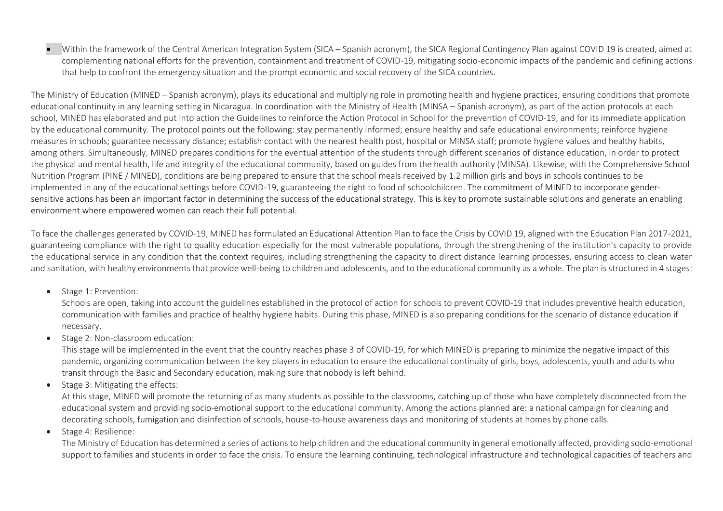• Within the framework of the Central American Integration System (SICA – Spanish acronym), the SICA Regional Contingency Plan against COVID 19 is created, aimed at complementing national efforts for the prevention, containment and treatment of COVID-19, mitigating socio-economic impacts of the pandemic and defining actions that help to confront the emergency situation and the prompt economic and social recovery of the SICA countries.

The Ministry of Education (MINED – Spanish acronym), plays its educational and multiplying role in promoting health and hygiene practices, ensuring conditions that promote educational continuity in any learning setting in Nicaragua. In coordination with the Ministry of Health (MINSA – Spanish acronym), as part of the action protocols at each school, MINED has elaborated and put into action the Guidelines to reinforce the Action Protocol in School for the prevention of COVID-19, and for its immediate application by the educational community. The protocol points out the following: stay permanently informed; ensure healthy and safe educational environments; reinforce hygiene measures in schools; guarantee necessary distance; establish contact with the nearest health post, hospital or MINSA staff; promote hygiene values and healthy habits, among others. Simultaneously, MINED prepares conditions for the eventual attention of the students through different scenarios of distance education, in order to protect the physical and mental health, life and integrity of the educational community, based on guides from the health authority (MINSA). Likewise, with the Comprehensive School Nutrition Program (PINE / MINED), conditions are being prepared to ensure that the school meals received by 1.2 million girls and boys in schools continues to be implemented in any of the educational settings before COVID-19, guaranteeing the right to food of schoolchildren. The commitment of MINED to incorporate gendersensitive actions has been an important factor in determining the success of the educational strategy. This is key to promote sustainable solutions and generate an enabling environment where empowered women can reach their full potential.

To face the challenges generated by COVID-19, MINED has formulated an Educational Attention Plan to face the Crisis by COVID 19, aligned with the Education Plan 2017-2021, guaranteeing compliance with the right to quality education especially for the most vulnerable populations, through the strengthening of the institution's capacity to provide the educational service in any condition that the context requires, including strengthening the capacity to direct distance learning processes, ensuring access to clean water and sanitation, with healthy environments that provide well-being to children and adolescents, and to the educational community as a whole. The plan is structured in 4 stages:

#### • Stage 1: Prevention:

Schools are open, taking into account the guidelines established in the protocol of action for schools to prevent COVID-19 that includes preventive health education, communication with families and practice of healthy hygiene habits. During this phase, MINED is also preparing conditions for the scenario of distance education if necessary.

• Stage 2: Non-classroom education:

This stage will be implemented in the event that the country reaches phase 3 of COVID-19, for which MINED is preparing to minimize the negative impact of this pandemic, organizing communication between the key players in education to ensure the educational continuity of girls, boys, adolescents, youth and adults who transit through the Basic and Secondary education, making sure that nobody is left behind.

• Stage 3: Mitigating the effects:

At this stage, MINED will promote the returning of as many students as possible to the classrooms, catching up of those who have completely disconnected from the educational system and providing socio-emotional support to the educational community. Among the actions planned are: a national campaign for cleaning and decorating schools, fumigation and disinfection of schools, house-to-house awareness days and monitoring of students at homes by phone calls.

• Stage 4: Resilience:

The Ministry of Education has determined a series of actions to help children and the educational community in general emotionally affected, providing socio-emotional support to families and students in order to face the crisis. To ensure the learning continuing, technological infrastructure and technological capacities of teachers and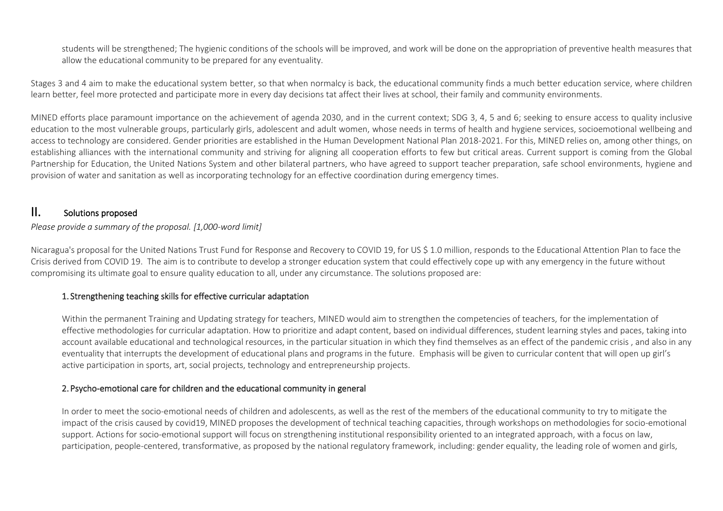students will be strengthened; The hygienic conditions of the schools will be improved, and work will be done on the appropriation of preventive health measures that allow the educational community to be prepared for any eventuality.

Stages 3 and 4 aim to make the educational system better, so that when normalcy is back, the educational community finds a much better education service, where children learn better, feel more protected and participate more in every day decisions tat affect their lives at school, their family and community environments.

MINED efforts place paramount importance on the achievement of agenda 2030, and in the current context; SDG 3, 4, 5 and 6; seeking to ensure access to quality inclusive education to the most vulnerable groups, particularly girls, adolescent and adult women, whose needs in terms of health and hygiene services, socioemotional wellbeing and access to technology are considered. Gender priorities are established in the Human Development National Plan 2018-2021. For this, MINED relies on, among other things, on establishing alliances with the international community and striving for aligning all cooperation efforts to few but critical areas. Current support is coming from the Global Partnership for Education, the United Nations System and other bilateral partners, who have agreed to support teacher preparation, safe school environments, hygiene and provision of water and sanitation as well as incorporating technology for an effective coordination during emergency times.

# II. Solutions proposed

#### *Please provide a summary of the proposal. [1,000-word limit]*

Nicaragua's proposal for the United Nations Trust Fund for Response and Recovery to COVID 19, for US \$ 1.0 million, responds to the Educational Attention Plan to face the Crisis derived from COVID 19. The aim is to contribute to develop a stronger education system that could effectively cope up with any emergency in the future without compromising its ultimate goal to ensure quality education to all, under any circumstance. The solutions proposed are:

#### 1. Strengthening teaching skills for effective curricular adaptation

Within the permanent Training and Updating strategy for teachers, MINED would aim to strengthen the competencies of teachers, for the implementation of effective methodologies for curricular adaptation. How to prioritize and adapt content, based on individual differences, student learning styles and paces, taking into account available educational and technological resources, in the particular situation in which they find themselves as an effect of the pandemic crisis, and also in any eventuality that interrupts the development of educational plans and programs in the future. Emphasis will be given to curricular content that will open up girl's active participation in sports, art, social projects, technology and entrepreneurship projects.

#### 2. Psycho-emotional care for children and the educational community in general

In order to meet the socio-emotional needs of children and adolescents, as well as the rest of the members of the educational community to try to mitigate the impact of the crisis caused by covid19, MINED proposes the development of technical teaching capacities, through workshops on methodologies for socio-emotional support. Actions for socio-emotional support will focus on strengthening institutional responsibility oriented to an integrated approach, with a focus on law, participation, people-centered, transformative, as proposed by the national regulatory framework, including: gender equality, the leading role of women and girls,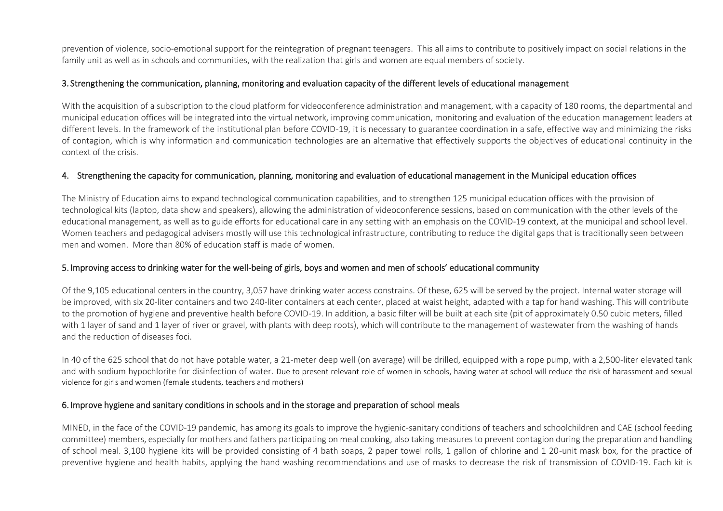prevention of violence, socio-emotional support for the reintegration of pregnant teenagers. This all aims to contribute to positively impact on social relations in the family unit as well as in schools and communities, with the realization that girls and women are equal members of society.

#### 3. Strengthening the communication, planning, monitoring and evaluation capacity of the different levels of educational management

With the acquisition of a subscription to the cloud platform for videoconference administration and management, with a capacity of 180 rooms, the departmental and municipal education offices will be integrated into the virtual network, improving communication, monitoring and evaluation of the education management leaders at different levels. In the framework of the institutional plan before COVID-19, it is necessary to guarantee coordination in a safe, effective way and minimizing the risks of contagion, which is why information and communication technologies are an alternative that effectively supports the objectives of educational continuity in the context of the crisis.

#### 4. Strengthening the capacity for communication, planning, monitoring and evaluation of educational management in the Municipal education offices

The Ministry of Education aims to expand technological communication capabilities, and to strengthen 125 municipal education offices with the provision of technological kits (laptop, data show and speakers), allowing the administration of videoconference sessions, based on communication with the other levels of the educational management, as well as to guide efforts for educational care in any setting with an emphasis on the COVID-19 context, at the municipal and school level. Women teachers and pedagogical advisers mostly will use this technological infrastructure, contributing to reduce the digital gaps that is traditionally seen between men and women. More than 80% of education staff is made of women.

#### 5. Improving access to drinking water for the well-being of girls, boys and women and men of schools' educational community

Of the 9,105 educational centers in the country, 3,057 have drinking water access constrains. Of these, 625 will be served by the project. Internal water storage will be improved, with six 20-liter containers and two 240-liter containers at each center, placed at waist height, adapted with a tap for hand washing. This will contribute to the promotion of hygiene and preventive health before COVID-19. In addition, a basic filter will be built at each site (pit of approximately 0.50 cubic meters, filled with 1 layer of sand and 1 layer of river or gravel, with plants with deep roots), which will contribute to the management of wastewater from the washing of hands and the reduction of diseases foci.

In 40 of the 625 school that do not have potable water, a 21-meter deep well (on average) will be drilled, equipped with a rope pump, with a 2,500-liter elevated tank and with sodium hypochlorite for disinfection of water. Due to present relevant role of women in schools, having water at school will reduce the risk of harassment and sexual violence for girls and women (female students, teachers and mothers)

#### 6. Improve hygiene and sanitary conditions in schools and in the storage and preparation of school meals

MINED, in the face of the COVID-19 pandemic, has among its goals to improve the hygienic-sanitary conditions of teachers and schoolchildren and CAE (school feeding committee) members, especially for mothers and fathers participating on meal cooking, also taking measures to prevent contagion during the preparation and handling of school meal. 3,100 hygiene kits will be provided consisting of 4 bath soaps, 2 paper towel rolls, 1 gallon of chlorine and 1 20-unit mask box, for the practice of preventive hygiene and health habits, applying the hand washing recommendations and use of masks to decrease the risk of transmission of COVID-19. Each kit is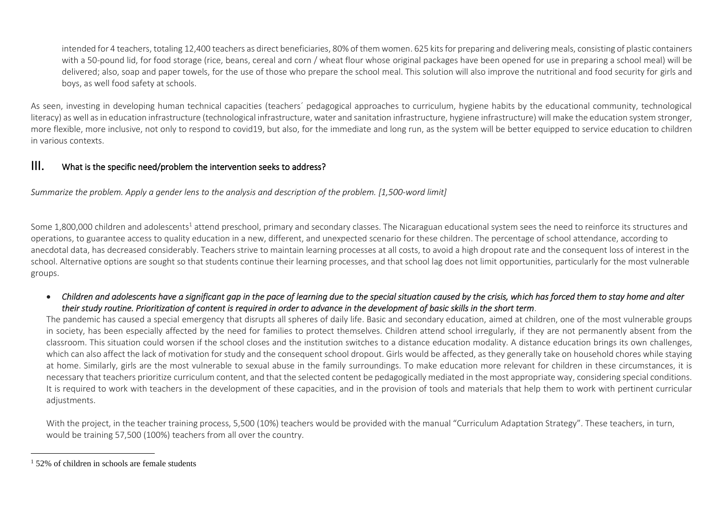intended for 4 teachers, totaling 12,400 teachers as direct beneficiaries, 80% of them women. 625 kits for preparing and delivering meals, consisting of plastic containers with a 50-pound lid, for food storage (rice, beans, cereal and corn / wheat flour whose original packages have been opened for use in preparing a school meal) will be delivered; also, soap and paper towels, for the use of those who prepare the school meal. This solution will also improve the nutritional and food security for girls and boys, as well food safety at schools.

As seen, investing in developing human technical capacities (teachers´ pedagogical approaches to curriculum, hygiene habits by the educational community, technological literacy) as well as in education infrastructure (technological infrastructure, water and sanitation infrastructure, hygiene infrastructure) will make the education system stronger, more flexible, more inclusive, not only to respond to covid19, but also, for the immediate and long run, as the system will be better equipped to service education to children in various contexts.

# III. What is the specific need/problem the intervention seeks to address?

*Summarize the problem. Apply [a gender lens](https://www.unwomen.org/en/news/stories/2020/3/news-checklist-for-covid-19-response-by-ded-regner) to the analysis and description of the problem. [1,500-word limit]* 

Some 1,800,000 children and adolescents<sup>1</sup> attend preschool, primary and secondary classes. The Nicaraguan educational system sees the need to reinforce its structures and operations, to guarantee access to quality education in a new, different, and unexpected scenario for these children. The percentage of school attendance, according to anecdotal data, has decreased considerably. Teachers strive to maintain learning processes at all costs, to avoid a high dropout rate and the consequent loss of interest in the school. Alternative options are sought so that students continue their learning processes, and that school lag does not limit opportunities, particularly for the most vulnerable groups.

• *Children and adolescents have a significant gap in the pace of learning due to the special situation caused by the crisis, which has forced them to stay home and alter their study routine. Prioritization of content is required in order to advance in the development of basic skills in the short term*.

The pandemic has caused a special emergency that disrupts all spheres of daily life. Basic and secondary education, aimed at children, one of the most vulnerable groups in society, has been especially affected by the need for families to protect themselves. Children attend school irregularly, if they are not permanently absent from the classroom. This situation could worsen if the school closes and the institution switches to a distance education modality. A distance education brings its own challenges, which can also affect the lack of motivation for study and the consequent school dropout. Girls would be affected, as they generally take on household chores while staying at home. Similarly, girls are the most vulnerable to sexual abuse in the family surroundings. To make education more relevant for children in these circumstances, it is necessary that teachers prioritize curriculum content, and that the selected content be pedagogically mediated in the most appropriate way, considering special conditions. It is required to work with teachers in the development of these capacities, and in the provision of tools and materials that help them to work with pertinent curricular adjustments.

With the project, in the teacher training process, 5,500 (10%) teachers would be provided with the manual "Curriculum Adaptation Strategy". These teachers, in turn, would be training 57,500 (100%) teachers from all over the country.

 $1.52\%$  of children in schools are female students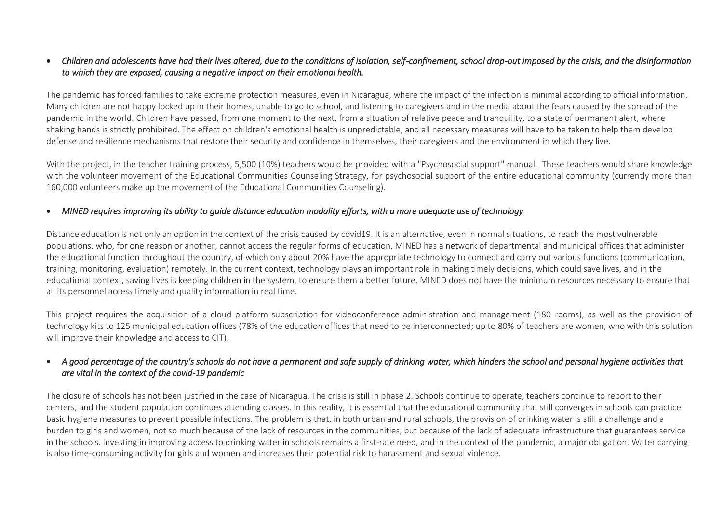#### • *Children and adolescents have had their lives altered, due to the conditions of isolation, self-confinement, school drop-out imposed by the crisis, and the disinformation to which they are exposed, causing a negative impact on their emotional health.*

The pandemic has forced families to take extreme protection measures, even in Nicaragua, where the impact of the infection is minimal according to official information. Many children are not happy locked up in their homes, unable to go to school, and listening to caregivers and in the media about the fears caused by the spread of the pandemic in the world. Children have passed, from one moment to the next, from a situation of relative peace and tranquility, to a state of permanent alert, where shaking hands is strictly prohibited. The effect on children's emotional health is unpredictable, and all necessary measures will have to be taken to help them develop defense and resilience mechanisms that restore their security and confidence in themselves, their caregivers and the environment in which they live.

With the project, in the teacher training process, 5,500 (10%) teachers would be provided with a "Psychosocial support" manual. These teachers would share knowledge with the volunteer movement of the Educational Communities Counseling Strategy, for psychosocial support of the entire educational community (currently more than 160,000 volunteers make up the movement of the Educational Communities Counseling).

#### • *MINED requires improving its ability to guide distance education modality efforts, with a more adequate use of technology*

Distance education is not only an option in the context of the crisis caused by covid19. It is an alternative, even in normal situations, to reach the most vulnerable populations, who, for one reason or another, cannot access the regular forms of education. MINED has a network of departmental and municipal offices that administer the educational function throughout the country, of which only about 20% have the appropriate technology to connect and carry out various functions (communication, training, monitoring, evaluation) remotely. In the current context, technology plays an important role in making timely decisions, which could save lives, and in the educational context, saving lives is keeping children in the system, to ensure them a better future. MINED does not have the minimum resources necessary to ensure that all its personnel access timely and quality information in real time.

This project requires the acquisition of a cloud platform subscription for videoconference administration and management (180 rooms), as well as the provision of technology kits to 125 municipal education offices (78% of the education offices that need to be interconnected; up to 80% of teachers are women, who with this solution will improve their knowledge and access to CIT).

### • *A good percentage of the country's schools do not have a permanent and safe supply of drinking water, which hinders the school and personal hygiene activities that are vital in the context of the covid-19 pandemic*

The closure of schools has not been justified in the case of Nicaragua. The crisis is still in phase 2. Schools continue to operate, teachers continue to report to their centers, and the student population continues attending classes. In this reality, it is essential that the educational community that still converges in schools can practice basic hygiene measures to prevent possible infections. The problem is that, in both urban and rural schools, the provision of drinking water is still a challenge and a burden to girls and women, not so much because of the lack of resources in the communities, but because of the lack of adequate infrastructure that guarantees service in the schools. Investing in improving access to drinking water in schools remains a first-rate need, and in the context of the pandemic, a major obligation. Water carrying is also time-consuming activity for girls and women and increases their potential risk to harassment and sexual violence.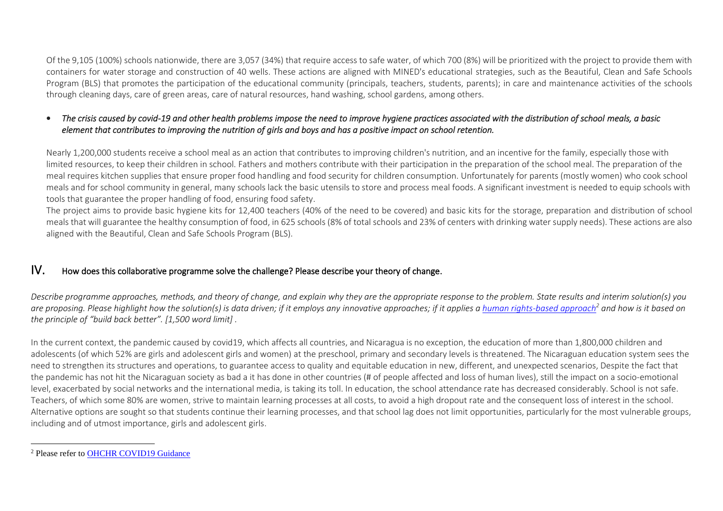Of the 9,105 (100%) schools nationwide, there are 3,057 (34%) that require access to safe water, of which 700 (8%) will be prioritized with the project to provide them with containers for water storage and construction of 40 wells. These actions are aligned with MINED's educational strategies, such as the Beautiful, Clean and Safe Schools Program (BLS) that promotes the participation of the educational community (principals, teachers, students, parents); in care and maintenance activities of the schools through cleaning days, care of green areas, care of natural resources, hand washing, school gardens, among others.

## • *The crisis caused by covid-19 and other health problems impose the need to improve hygiene practices associated with the distribution of school meals, a basic element that contributes to improving the nutrition of girls and boys and has a positive impact on school retention.*

Nearly 1,200,000 students receive a school meal as an action that contributes to improving children's nutrition, and an incentive for the family, especially those with limited resources, to keep their children in school. Fathers and mothers contribute with their participation in the preparation of the school meal. The preparation of the meal requires kitchen supplies that ensure proper food handling and food security for children consumption. Unfortunately for parents (mostly women) who cook school meals and for school community in general, many schools lack the basic utensils to store and process meal foods. A significant investment is needed to equip schools with tools that guarantee the proper handling of food, ensuring food safety.

The project aims to provide basic hygiene kits for 12,400 teachers (40% of the need to be covered) and basic kits for the storage, preparation and distribution of school meals that will guarantee the healthy consumption of food, in 625 schools (8% of total schools and 23% of centers with drinking water supply needs). These actions are also aligned with the Beautiful, Clean and Safe Schools Program (BLS).

# IV. How does this collaborative programme solve the challenge? Please describe your theory of change.

*Describe programme approaches, methods, and theory of change, and explain why they are the appropriate response to the problem. State results and interim solution(s) you*  are proposing. Please highlight how the solution(s) is data driven; if it employs any innovative approaches; if it applies [a human rights-based approach](https://www.ohchr.org/EN/NewsEvents/Pages/COVID19Guidance.aspx)<sup>2</sup> and how is it based on *the principle of "build back better". [1,500 word limit] .*

In the current context, the pandemic caused by covid19, which affects all countries, and Nicaragua is no exception, the education of more than 1,800,000 children and adolescents (of which 52% are girls and adolescent girls and women) at the preschool, primary and secondary levels is threatened. The Nicaraguan education system sees the need to strengthen its structures and operations, to guarantee access to quality and equitable education in new, different, and unexpected scenarios, Despite the fact that the pandemic has not hit the Nicaraguan society as bad a it has done in other countries (# of people affected and loss of human lives), still the impact on a socio-emotional level, exacerbated by social networks and the international media, is taking its toll. In education, the school attendance rate has decreased considerably. School is not safe. Teachers, of which some 80% are women, strive to maintain learning processes at all costs, to avoid a high dropout rate and the consequent loss of interest in the school. Alternative options are sought so that students continue their learning processes, and that school lag does not limit opportunities, particularly for the most vulnerable groups, including and of utmost importance, girls and adolescent girls.

<sup>&</sup>lt;sup>2</sup> Please refer to OHCHR COVID19 Guidance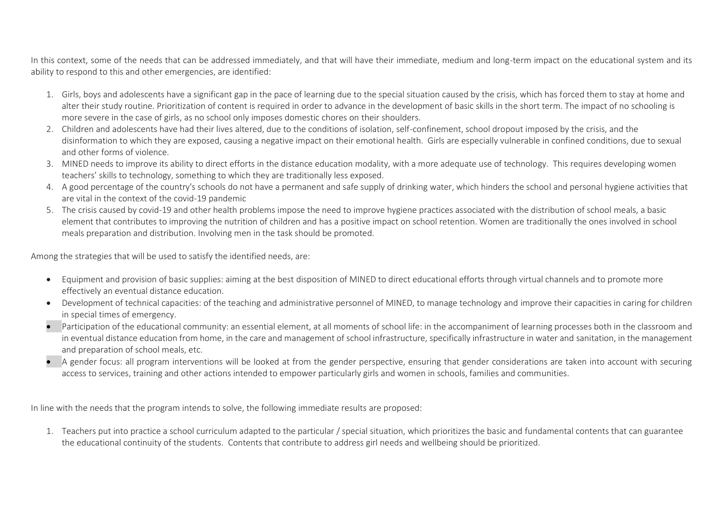In this context, some of the needs that can be addressed immediately, and that will have their immediate, medium and long-term impact on the educational system and its ability to respond to this and other emergencies, are identified:

- 1. Girls, boys and adolescents have a significant gap in the pace of learning due to the special situation caused by the crisis, which has forced them to stay at home and alter their study routine. Prioritization of content is required in order to advance in the development of basic skills in the short term. The impact of no schooling is more severe in the case of girls, as no school only imposes domestic chores on their shoulders.
- 2. Children and adolescents have had their lives altered, due to the conditions of isolation, self-confinement, school dropout imposed by the crisis, and the disinformation to which they are exposed, causing a negative impact on their emotional health. Girls are especially vulnerable in confined conditions, due to sexual and other forms of violence.
- 3. MINED needs to improve its ability to direct efforts in the distance education modality, with a more adequate use of technology. This requires developing women teachers' skills to technology, something to which they are traditionally less exposed.
- 4. A good percentage of the country's schools do not have a permanent and safe supply of drinking water, which hinders the school and personal hygiene activities that are vital in the context of the covid-19 pandemic
- 5. The crisis caused by covid-19 and other health problems impose the need to improve hygiene practices associated with the distribution of school meals, a basic element that contributes to improving the nutrition of children and has a positive impact on school retention. Women are traditionally the ones involved in school meals preparation and distribution. Involving men in the task should be promoted.

Among the strategies that will be used to satisfy the identified needs, are:

- Equipment and provision of basic supplies: aiming at the best disposition of MINED to direct educational efforts through virtual channels and to promote more effectively an eventual distance education.
- Development of technical capacities: of the teaching and administrative personnel of MINED, to manage technology and improve their capacities in caring for children in special times of emergency.
- Participation of the educational community: an essential element, at all moments of school life: in the accompaniment of learning processes both in the classroom and in eventual distance education from home, in the care and management of school infrastructure, specifically infrastructure in water and sanitation, in the management and preparation of school meals, etc.
- A gender focus: all program interventions will be looked at from the gender perspective, ensuring that gender considerations are taken into account with securing access to services, training and other actions intended to empower particularly girls and women in schools, families and communities.

In line with the needs that the program intends to solve, the following immediate results are proposed:

1. Teachers put into practice a school curriculum adapted to the particular / special situation, which prioritizes the basic and fundamental contents that can guarantee the educational continuity of the students. Contents that contribute to address girl needs and wellbeing should be prioritized.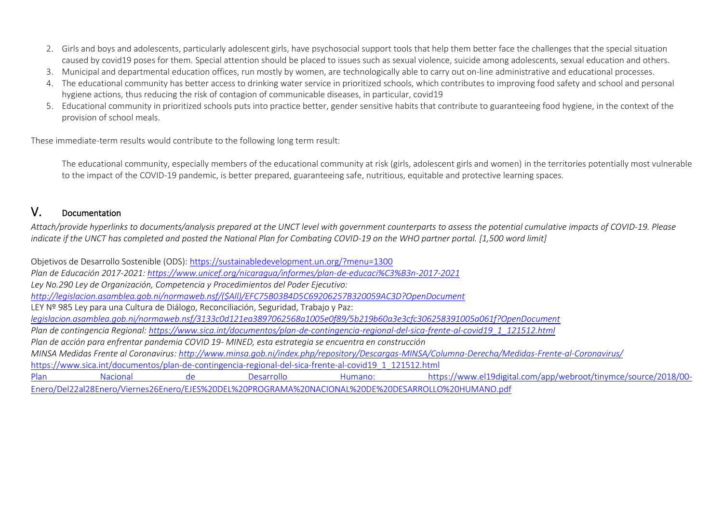- 2. Girls and boys and adolescents, particularly adolescent girls, have psychosocial support tools that help them better face the challenges that the special situation caused by covid19 poses for them. Special attention should be placed to issues such as sexual violence, suicide among adolescents, sexual education and others.
- 3. Municipal and departmental education offices, run mostly by women, are technologically able to carry out on-line administrative and educational processes.
- 4. The educational community has better access to drinking water service in prioritized schools, which contributes to improving food safety and school and personal hygiene actions, thus reducing the risk of contagion of communicable diseases, in particular, covid19
- 5. Educational community in prioritized schools puts into practice better, gender sensitive habits that contribute to guaranteeing food hygiene, in the context of the provision of school meals.

These immediate-term results would contribute to the following long term result:

The educational community, especially members of the educational community at risk (girls, adolescent girls and women) in the territories potentially most vulnerable to the impact of the COVID-19 pandemic, is better prepared, guaranteeing safe, nutritious, equitable and protective learning spaces.

# V. Documentation

*Attach/provide hyperlinks to documents/analysis prepared at the UNCT level with government counterparts to assess the potential cumulative impacts of COVID-19. Please indicate if the UNCT has completed and posted the National Plan for Combating COVID-19 on the WHO partner portal. [1,500 word limit]* 

Objetivos de Desarrollo Sostenible (ODS): <https://sustainabledevelopment.un.org/?menu=1300> *Plan de Educación 2017-2021[: https://www.unicef.org/nicaragua/informes/plan-de-educaci%C3%B3n-2017-2021](https://www.unicef.org/nicaragua/informes/plan-de-educaci%C3%B3n-2017-2021) Ley No.290 Ley de Organización, Competencia y Procedimientos del Poder Ejecutivo: [http://legislacion.asamblea.gob.ni/normaweb.nsf/\(\\$All\)/EFC75B03B4D5C69206257B320059AC3D?OpenDocument](http://legislacion.asamblea.gob.ni/normaweb.nsf/($All)/EFC75B03B4D5C69206257B320059AC3D?OpenDocument)* LEY Nº 985 Ley para una Cultura de Diálogo, Reconciliación, Seguridad, Trabajo y Paz: *legislacion.asamblea.gob.ni/normaweb.nsf/3133c0d121ea3897062568a1005e0f89/5b219b60a3e3cfc306258391005a061f?OpenDocument Plan de contingencia Regional: [https://www.sica.int/documentos/plan-de-contingencia-regional-del-sica-frente-al-covid19\\_1\\_121512.html](https://www.sica.int/documentos/plan-de-contingencia-regional-del-sica-frente-al-covid19_1_121512.html) Plan de acción para enfrentar pandemia COVID 19- MINED, esta estrategia se encuentra en construcción MINSA Medidas Frente al Coronavirus:<http://www.minsa.gob.ni/index.php/repository/Descargas-MINSA/Columna-Derecha/Medidas-Frente-al-Coronavirus/>* [https://www.sica.int/documentos/plan-de-contingencia-regional-del-sica-frente-al-covid19\\_1\\_121512.html](https://www.sica.int/documentos/plan-de-contingencia-regional-del-sica-frente-al-covid19_1_121512.html) Plan Nacional de Desarrollo Humano: [https://www.el19digital.com/app/webroot/tinymce/source/2018/00-](https://www.el19digital.com/app/webroot/tinymce/source/2018/00-Enero/Del22al28Enero/Viernes26Enero/EJES%20DEL%20PROGRAMA%20NACIONAL%20DE%20DESARROLLO%20HUMANO.pdf) [Enero/Del22al28Enero/Viernes26Enero/EJES%20DEL%20PROGRAMA%20NACIONAL%20DE%20DESARROLLO%20HUMANO.pdf](https://www.el19digital.com/app/webroot/tinymce/source/2018/00-Enero/Del22al28Enero/Viernes26Enero/EJES%20DEL%20PROGRAMA%20NACIONAL%20DE%20DESARROLLO%20HUMANO.pdf)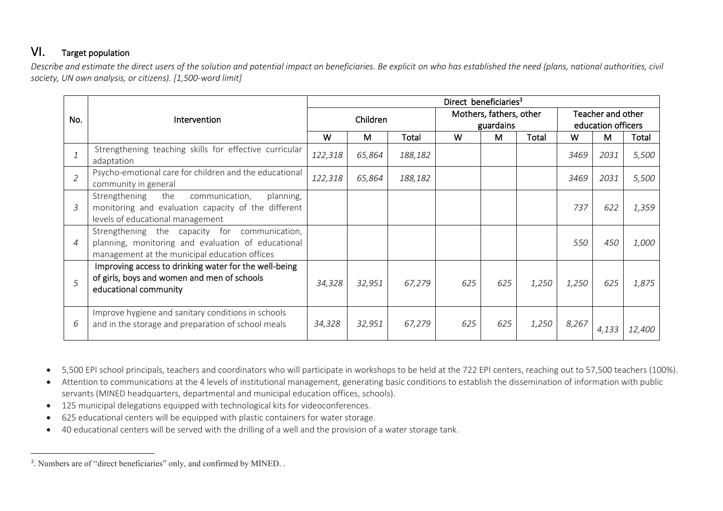# VI. Target population

*Describe and estimate the direct users of the solution and potential impact on beneficiaries. Be explicit on who has established the need (plans, national authorities, civil society, UN own analysis, or citizens). [1,500-word limit]* 

|                |                                                                                                                                                      | Direct beneficiaries <sup>3</sup> |          |         |     |                                      |       |       |                                         |        |  |
|----------------|------------------------------------------------------------------------------------------------------------------------------------------------------|-----------------------------------|----------|---------|-----|--------------------------------------|-------|-------|-----------------------------------------|--------|--|
| No.            | Intervention                                                                                                                                         |                                   | Children |         |     | Mothers, fathers, other<br>guardains |       |       | Teacher and other<br>education officers |        |  |
|                |                                                                                                                                                      | W                                 | М        | Total   | W   | M                                    | Total | W     | M                                       | Total  |  |
|                | Strengthening teaching skills for effective curricular<br>adaptation                                                                                 | 122,318                           | 65,864   | 188,182 |     |                                      |       | 3469  | 2031                                    | 5,500  |  |
| $\overline{2}$ | Psycho-emotional care for children and the educational<br>community in general                                                                       | 122,318                           | 65,864   | 188,182 |     |                                      |       | 3469  | 2031                                    | 5,500  |  |
| 3              | Strengthening<br>the<br>communication,<br>planning,<br>monitoring and evaluation capacity of the different<br>levels of educational management       |                                   |          |         |     |                                      |       | 737   | 622                                     | 1,359  |  |
| $\overline{4}$ | Strengthening the capacity for communication,<br>planning, monitoring and evaluation of educational<br>management at the municipal education offices |                                   |          |         |     |                                      |       | 550   | 450                                     | 1,000  |  |
| .5             | Improving access to drinking water for the well-being<br>of girls, boys and women and men of schools<br>educational community                        | 34,328                            | 32,951   | 67,279  | 625 | 625                                  | 1,250 | 1,250 | 625                                     | 1,875  |  |
| 6              | Improve hygiene and sanitary conditions in schools<br>and in the storage and preparation of school meals                                             | 34,328                            | 32,951   | 67,279  | 625 | 625                                  | 1,250 | 8,267 | 4,133                                   | 12,400 |  |

• 5,500 EPI school principals, teachers and coordinators who will participate in workshops to be held at the 722 EPI centers, reaching out to 57,500 teachers (100%).

- Attention to communications at the 4 levels of institutional management, generating basic conditions to establish the dissemination of information with public servants (MINED headquarters, departmental and municipal education offices, schools).
- 125 municipal delegations equipped with technological kits for videoconferences.
- 625 educational centers will be equipped with plastic containers for water storage.
- 40 educational centers will be served with the drilling of a well and the provision of a water storage tank.

<sup>&</sup>lt;sup>3</sup>. Numbers are of "direct beneficiaries" only, and confirmed by MINED. .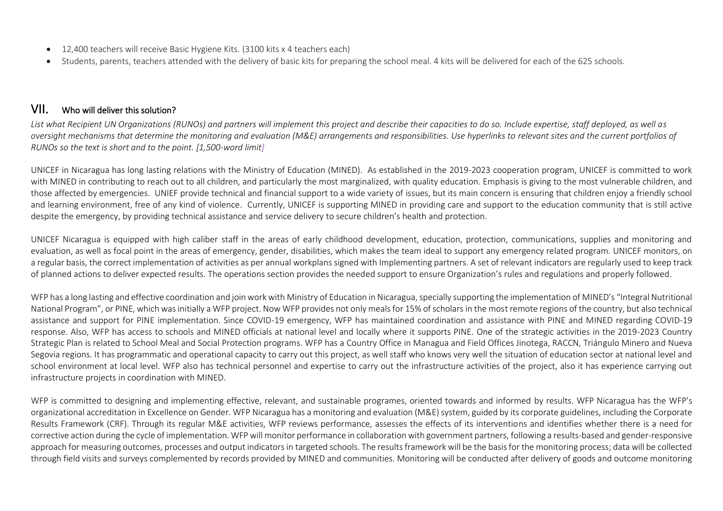- 12,400 teachers will receive Basic Hygiene Kits. (3100 kits x 4 teachers each)
- Students, parents, teachers attended with the delivery of basic kits for preparing the school meal. 4 kits will be delivered for each of the 625 schools.

# VII. Who will deliver this solution?

*List what Recipient UN Organizations (RUNOs) and partners will implement this project and describe their capacities to do so. Include expertise, staff deployed, as well as oversight mechanisms that determine the monitoring and evaluation (M&E) arrangements and responsibilities. Use hyperlinks to relevant sites and the current portfolios of RUNOs so the text is short and to the point. [1,500-word limit]* 

UNICEF in Nicaragua has long lasting relations with the Ministry of Education (MINED). As established in the 2019-2023 cooperation program, UNICEF is committed to work with MINED in contributing to reach out to all children, and particularly the most marginalized, with quality education. Emphasis is giving to the most vulnerable children, and those affected by emergencies. UNIEF provide technical and financial support to a wide variety of issues, but its main concern is ensuring that children enjoy a friendly school and learning environment, free of any kind of violence. Currently, UNICEF is supporting MINED in providing care and support to the education community that is still active despite the emergency, by providing technical assistance and service delivery to secure children's health and protection.

UNICEF Nicaragua is equipped with high caliber staff in the areas of early childhood development, education, protection, communications, supplies and monitoring and evaluation, as well as focal point in the areas of emergency, gender, disabilities, which makes the team ideal to support any emergency related program. UNICEF monitors, on a regular basis, the correct implementation of activities as per annual workplans signed with Implementing partners. A set of relevant indicators are regularly used to keep track of planned actions to deliver expected results. The operations section provides the needed support to ensure Organization's rules and regulations and properly followed.

WFP has a long lasting and effective coordination and join work with Ministry of Education in Nicaragua, specially supporting the implementation of MINED's "Integral Nutritional" National Program", or PINE, which was initially a WFP project. Now WFP provides not only meals for 15% of scholars in the most remote regions of the country, but also technical assistance and support for PINE implementation. Since COVID-19 emergency, WFP has maintained coordination and assistance with PINE and MINED regarding COVID-19 response. Also, WFP has access to schools and MINED officials at national level and locally where it supports PINE. One of the strategic activities in the 2019-2023 Country Strategic Plan is related to School Meal and Social Protection programs. WFP has a Country Office in Managua and Field Offices Jinotega, RACCN, Triángulo Minero and Nueva Segovia regions. It has programmatic and operational capacity to carry out this project, as well staff who knows very well the situation of education sector at national level and school environment at local level. WFP also has technical personnel and expertise to carry out the infrastructure activities of the project, also it has experience carrying out infrastructure projects in coordination with MINED.

WFP is committed to designing and implementing effective, relevant, and sustainable programes, oriented towards and informed by results. WFP Nicaragua has the WFP's organizational accreditation in Excellence on Gender. WFP Nicaragua has a monitoring and evaluation (M&E) system, guided by its corporate guidelines, including the Corporate Results Framework (CRF). Through its regular M&E activities, WFP reviews performance, assesses the effects of its interventions and identifies whether there is a need for corrective action during the cycle of implementation. WFP will monitor performance in collaboration with government partners, following a results-based and gender-responsive approach for measuring outcomes, processes and output indicators in targeted schools. The results framework will be the basis for the monitoring process; data will be collected through field visits and surveys complemented by records provided by MINED and communities. Monitoring will be conducted after delivery of goods and outcome monitoring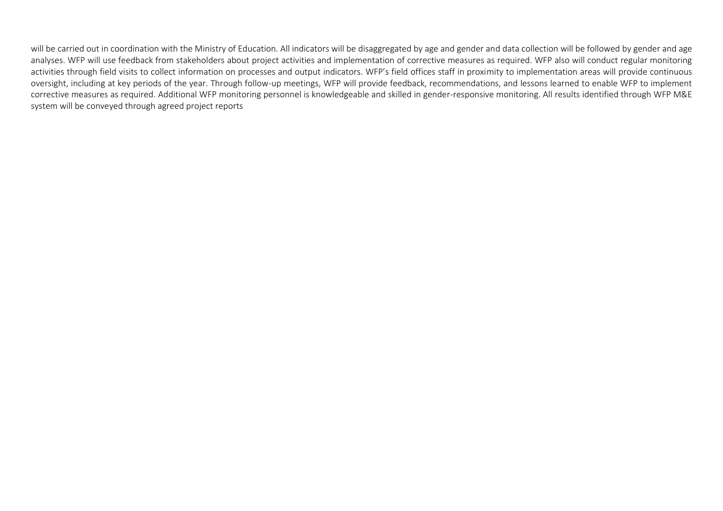will be carried out in coordination with the Ministry of Education. All indicators will be disaggregated by age and gender and data collection will be followed by gender and age analyses. WFP will use feedback from stakeholders about project activities and implementation of corrective measures as required. WFP also will conduct regular monitoring activities through field visits to collect information on processes and output indicators. WFP's field offices staff in proximity to implementation areas will provide continuous

oversight, including at key periods of the year. Through follow-up meetings, WFP will provide feedback, recommendations, and lessons learned to enable WFP to implement corrective measures as required. Additional WFP monitoring personnel is knowledgeable and skilled in gender-responsive monitoring. All results identified through WFP M&E system will be conveyed through agreed project reports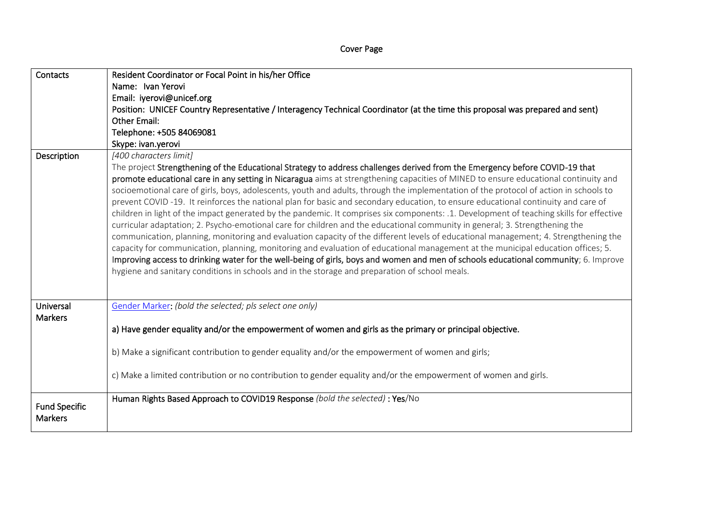| Contacts             | Resident Coordinator or Focal Point in his/her Office                                                                                    |
|----------------------|------------------------------------------------------------------------------------------------------------------------------------------|
|                      | Name: Ivan Yerovi                                                                                                                        |
|                      | Email: iyerovi@unicef.org                                                                                                                |
|                      | Position: UNICEF Country Representative / Interagency Technical Coordinator (at the time this proposal was prepared and sent)            |
|                      | <b>Other Email:</b>                                                                                                                      |
|                      | Telephone: +505 84069081                                                                                                                 |
|                      | Skype: ivan.yerovi                                                                                                                       |
| Description          | [400 characters limit]                                                                                                                   |
|                      | The project Strengthening of the Educational Strategy to address challenges derived from the Emergency before COVID-19 that              |
|                      | promote educational care in any setting in Nicaragua aims at strengthening capacities of MINED to ensure educational continuity and      |
|                      | socioemotional care of girls, boys, adolescents, youth and adults, through the implementation of the protocol of action in schools to    |
|                      | prevent COVID-19. It reinforces the national plan for basic and secondary education, to ensure educational continuity and care of        |
|                      | children in light of the impact generated by the pandemic. It comprises six components: .1. Development of teaching skills for effective |
|                      | curricular adaptation; 2. Psycho-emotional care for children and the educational community in general; 3. Strengthening the              |
|                      | communication, planning, monitoring and evaluation capacity of the different levels of educational management; 4. Strengthening the      |
|                      | capacity for communication, planning, monitoring and evaluation of educational management at the municipal education offices; 5.         |
|                      | Improving access to drinking water for the well-being of girls, boys and women and men of schools educational community; 6. Improve      |
|                      | hygiene and sanitary conditions in schools and in the storage and preparation of school meals.                                           |
|                      |                                                                                                                                          |
|                      |                                                                                                                                          |
| Universal            | Gender Marker: (bold the selected; pls select one only)                                                                                  |
| <b>Markers</b>       |                                                                                                                                          |
|                      |                                                                                                                                          |
|                      | a) Have gender equality and/or the empowerment of women and girls as the primary or principal objective.                                 |
|                      |                                                                                                                                          |
|                      | b) Make a significant contribution to gender equality and/or the empowerment of women and girls;                                         |
|                      |                                                                                                                                          |
|                      | c) Make a limited contribution or no contribution to gender equality and/or the empowerment of women and girls.                          |
|                      | Human Rights Based Approach to COVID19 Response (bold the selected) : Yes/No                                                             |
| <b>Fund Specific</b> |                                                                                                                                          |
| <b>Markers</b>       |                                                                                                                                          |
|                      |                                                                                                                                          |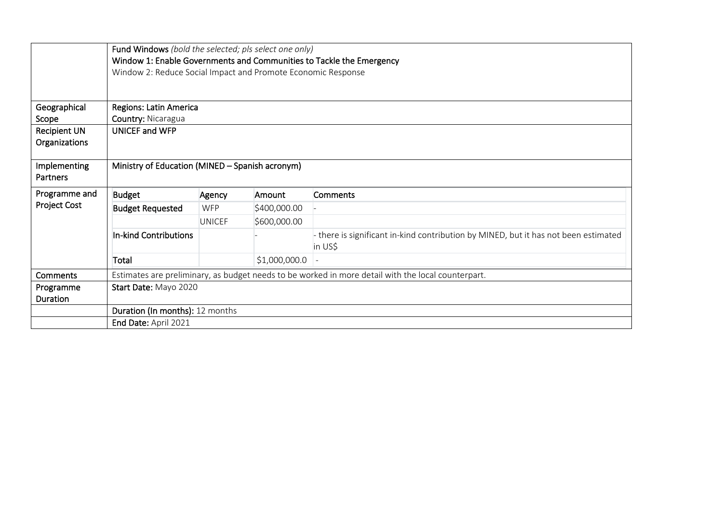|                     | Fund Windows (bold the selected; pls select one only)                |               |               |                                                                                                    |  |  |  |  |  |  |
|---------------------|----------------------------------------------------------------------|---------------|---------------|----------------------------------------------------------------------------------------------------|--|--|--|--|--|--|
|                     | Window 1: Enable Governments and Communities to Tackle the Emergency |               |               |                                                                                                    |  |  |  |  |  |  |
|                     | Window 2: Reduce Social Impact and Promote Economic Response         |               |               |                                                                                                    |  |  |  |  |  |  |
|                     |                                                                      |               |               |                                                                                                    |  |  |  |  |  |  |
|                     |                                                                      |               |               |                                                                                                    |  |  |  |  |  |  |
| Geographical        | Regions: Latin America                                               |               |               |                                                                                                    |  |  |  |  |  |  |
| Scope               | Country: Nicaragua                                                   |               |               |                                                                                                    |  |  |  |  |  |  |
| <b>Recipient UN</b> | UNICEF and WFP                                                       |               |               |                                                                                                    |  |  |  |  |  |  |
| Organizations       |                                                                      |               |               |                                                                                                    |  |  |  |  |  |  |
|                     |                                                                      |               |               |                                                                                                    |  |  |  |  |  |  |
| Implementing        | Ministry of Education (MINED - Spanish acronym)                      |               |               |                                                                                                    |  |  |  |  |  |  |
| Partners            |                                                                      |               |               |                                                                                                    |  |  |  |  |  |  |
| Programme and       | <b>Budget</b>                                                        | Agency        | Amount        | Comments                                                                                           |  |  |  |  |  |  |
| <b>Project Cost</b> | <b>Budget Requested</b>                                              | <b>WFP</b>    | \$400,000.00  |                                                                                                    |  |  |  |  |  |  |
|                     |                                                                      | <b>UNICEF</b> | \$600,000.00  |                                                                                                    |  |  |  |  |  |  |
|                     | In-kind Contributions                                                |               |               | - there is significant in-kind contribution by MINED, but it has not been estimated                |  |  |  |  |  |  |
|                     |                                                                      |               |               | in US\$                                                                                            |  |  |  |  |  |  |
|                     | Total                                                                |               | \$1,000,000.0 |                                                                                                    |  |  |  |  |  |  |
| <b>Comments</b>     |                                                                      |               |               | Estimates are preliminary, as budget needs to be worked in more detail with the local counterpart. |  |  |  |  |  |  |
| Programme           | Start Date: Mayo 2020                                                |               |               |                                                                                                    |  |  |  |  |  |  |
| Duration            |                                                                      |               |               |                                                                                                    |  |  |  |  |  |  |
|                     | Duration (In months): 12 months                                      |               |               |                                                                                                    |  |  |  |  |  |  |
|                     | End Date: April 2021                                                 |               |               |                                                                                                    |  |  |  |  |  |  |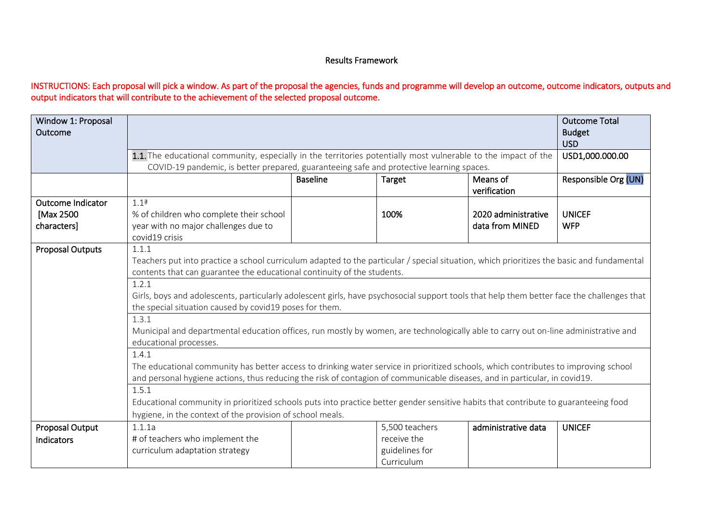# Results Framework

# INSTRUCTIONS: Each proposal will pick a window. As part of the proposal the agencies, funds and programme will develop an outcome, outcome indicators, outputs and output indicators that will contribute to the achievement of the selected proposal outcome.

| Window 1: Proposal<br>Outcome |                                                                                                                                            |                      |                               | <b>Outcome Total</b><br><b>Budget</b> |
|-------------------------------|--------------------------------------------------------------------------------------------------------------------------------------------|----------------------|-------------------------------|---------------------------------------|
|                               | 1.1. The educational community, especially in the territories potentially most vulnerable to the impact of the                             |                      | <b>USD</b><br>USD1,000.000.00 |                                       |
|                               | COVID-19 pandemic, is better prepared, guaranteeing safe and protective learning spaces.                                                   |                      |                               |                                       |
|                               |                                                                                                                                            | Responsible Org (UN) |                               |                                       |
| <b>Outcome Indicator</b>      | 1.1 <sup>a</sup>                                                                                                                           |                      |                               |                                       |
| [Max 2500                     | % of children who complete their school                                                                                                    | 100%                 | 2020 administrative           | <b>UNICEF</b>                         |
| characters]                   | year with no major challenges due to<br>covid19 crisis                                                                                     | data from MINED      | <b>WFP</b>                    |                                       |
| <b>Proposal Outputs</b>       | 1.1.1                                                                                                                                      |                      |                               |                                       |
|                               | Teachers put into practice a school curriculum adapted to the particular / special situation, which prioritizes the basic and fundamental  |                      |                               |                                       |
|                               | contents that can guarantee the educational continuity of the students.                                                                    |                      |                               |                                       |
|                               | 1.2.1                                                                                                                                      |                      |                               |                                       |
|                               | Girls, boys and adolescents, particularly adolescent girls, have psychosocial support tools that help them better face the challenges that |                      |                               |                                       |
|                               | the special situation caused by covid19 poses for them.                                                                                    |                      |                               |                                       |
|                               | 1.3.1                                                                                                                                      |                      |                               |                                       |
|                               | Municipal and departmental education offices, run mostly by women, are technologically able to carry out on-line administrative and        |                      |                               |                                       |
|                               | educational processes.                                                                                                                     |                      |                               |                                       |
|                               | 1.4.1                                                                                                                                      |                      |                               |                                       |
|                               | The educational community has better access to drinking water service in prioritized schools, which contributes to improving school        |                      |                               |                                       |
|                               | and personal hygiene actions, thus reducing the risk of contagion of communicable diseases, and in particular, in covid19.                 |                      |                               |                                       |
|                               | 1.5.1                                                                                                                                      |                      |                               |                                       |
|                               | Educational community in prioritized schools puts into practice better gender sensitive habits that contribute to guaranteeing food        |                      |                               |                                       |
|                               | hygiene, in the context of the provision of school meals.                                                                                  |                      |                               |                                       |
| Proposal Output               | 1.1.1a                                                                                                                                     | 5,500 teachers       | administrative data           | <b>UNICEF</b>                         |
| Indicators                    | # of teachers who implement the                                                                                                            | receive the          |                               |                                       |
|                               | curriculum adaptation strategy                                                                                                             | guidelines for       |                               |                                       |
|                               |                                                                                                                                            | Curriculum           |                               |                                       |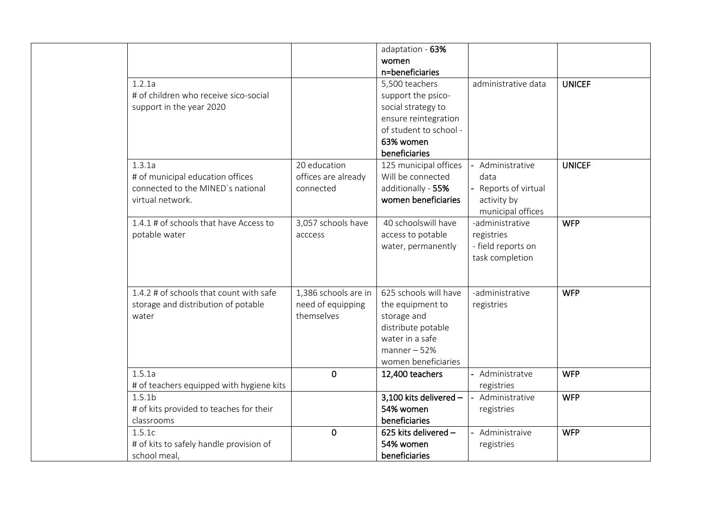| 1.2.1a<br># of children who receive sico-social<br>support in the year 2020                         |                                                         | adaptation - 63%<br>women<br>n=beneficiaries<br>5,500 teachers<br>support the psico-<br>social strategy to<br>ensure reintegration<br>of student to school -<br>63% women | administrative data                                                              | <b>UNICEF</b> |
|-----------------------------------------------------------------------------------------------------|---------------------------------------------------------|---------------------------------------------------------------------------------------------------------------------------------------------------------------------------|----------------------------------------------------------------------------------|---------------|
| 1.3.1a<br># of municipal education offices<br>connected to the MINED's national<br>virtual network. | 20 education<br>offices are already<br>connected        | beneficiaries<br>125 municipal offices<br>Will be connected<br>additionally - 55%<br>women beneficiaries                                                                  | Administrative<br>data<br>Reports of virtual<br>activity by<br>municipal offices | <b>UNICEF</b> |
| 1.4.1 # of schools that have Access to<br>potable water                                             | 3,057 schools have<br>acccess                           | 40 schoolswill have<br>access to potable<br>water, permanently                                                                                                            | -administrative<br>registries<br>- field reports on<br>task completion           | <b>WFP</b>    |
| 1.4.2 # of schools that count with safe<br>storage and distribution of potable<br>water             | 1,386 schools are in<br>need of equipping<br>themselves | 625 schools will have<br>the equipment to<br>storage and<br>distribute potable<br>water in a safe<br>$manner - 52%$<br>women beneficiaries                                | -administrative<br>registries                                                    | <b>WFP</b>    |
| 1.5.1a<br># of teachers equipped with hygiene kits                                                  | $\mathbf 0$                                             | 12,400 teachers                                                                                                                                                           | Administratve<br>registries                                                      | <b>WFP</b>    |
| 1.5.1 <sub>b</sub><br># of kits provided to teaches for their<br>classrooms                         |                                                         | 3,100 kits delivered -<br>54% women<br>beneficiaries                                                                                                                      | Administrative<br>registries                                                     | <b>WFP</b>    |
| 1.5.1c<br># of kits to safely handle provision of<br>school meal,                                   | $\mathbf 0$                                             | 625 kits delivered -<br>54% women<br>beneficiaries                                                                                                                        | Administraive<br>registries                                                      | <b>WFP</b>    |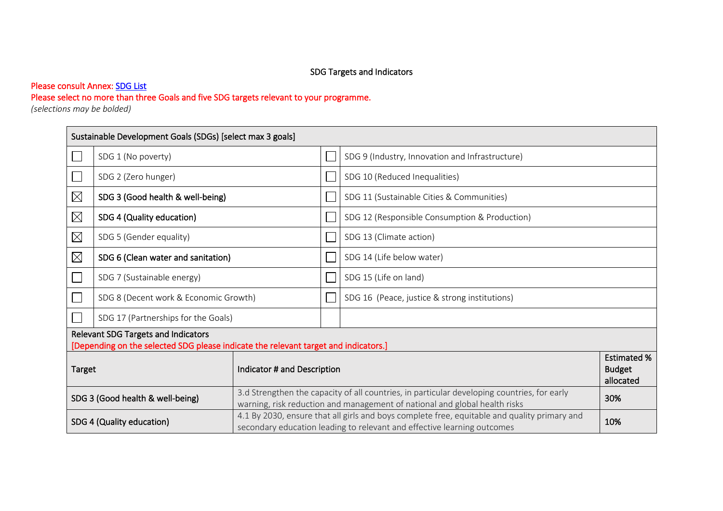# Please consult Annex: SDG List

# Please select no more than three Goals and five SDG targets relevant to your programme.

*(selections may be bolded)* 

|                                       | Sustainable Development Goals (SDGs) [select max 3 goals]                                                                  |  |  |                                                                                                                                                                                  |                                                  |  |  |  |
|---------------------------------------|----------------------------------------------------------------------------------------------------------------------------|--|--|----------------------------------------------------------------------------------------------------------------------------------------------------------------------------------|--------------------------------------------------|--|--|--|
|                                       | SDG 1 (No poverty)                                                                                                         |  |  | SDG 9 (Industry, Innovation and Infrastructure)                                                                                                                                  |                                                  |  |  |  |
|                                       | SDG 2 (Zero hunger)                                                                                                        |  |  | SDG 10 (Reduced Inequalities)                                                                                                                                                    |                                                  |  |  |  |
| $\boxtimes$                           | SDG 3 (Good health & well-being)                                                                                           |  |  | SDG 11 (Sustainable Cities & Communities)                                                                                                                                        |                                                  |  |  |  |
| $\boxtimes$                           | SDG 4 (Quality education)                                                                                                  |  |  | SDG 12 (Responsible Consumption & Production)                                                                                                                                    |                                                  |  |  |  |
| $\boxtimes$                           | SDG 5 (Gender equality)                                                                                                    |  |  | SDG 13 (Climate action)                                                                                                                                                          |                                                  |  |  |  |
| $\boxtimes$                           | SDG 6 (Clean water and sanitation)                                                                                         |  |  | SDG 14 (Life below water)                                                                                                                                                        |                                                  |  |  |  |
|                                       | SDG 7 (Sustainable energy)                                                                                                 |  |  | SDG 15 (Life on land)                                                                                                                                                            |                                                  |  |  |  |
|                                       | SDG 8 (Decent work & Economic Growth)                                                                                      |  |  | SDG 16 (Peace, justice & strong institutions)                                                                                                                                    |                                                  |  |  |  |
|                                       | SDG 17 (Partnerships for the Goals)                                                                                        |  |  |                                                                                                                                                                                  |                                                  |  |  |  |
|                                       | Relevant SDG Targets and Indicators<br>[Depending on the selected SDG please indicate the relevant target and indicators.] |  |  |                                                                                                                                                                                  |                                                  |  |  |  |
| Indicator # and Description<br>Target |                                                                                                                            |  |  |                                                                                                                                                                                  | <b>Estimated %</b><br><b>Budget</b><br>allocated |  |  |  |
| SDG 3 (Good health & well-being)      |                                                                                                                            |  |  | 3.d Strengthen the capacity of all countries, in particular developing countries, for early<br>30%<br>warning, risk reduction and management of national and global health risks |                                                  |  |  |  |
| SDG 4 (Quality education)             |                                                                                                                            |  |  | 4.1 By 2030, ensure that all girls and boys complete free, equitable and quality primary and<br>10%<br>secondary education leading to relevant and effective learning outcomes   |                                                  |  |  |  |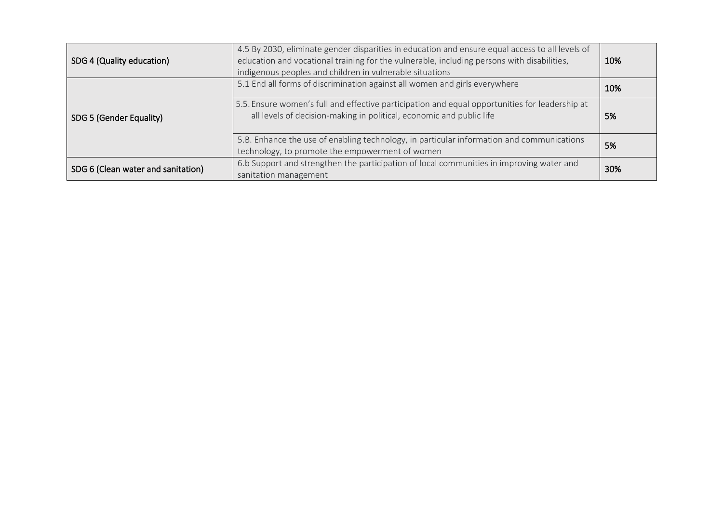| SDG 4 (Quality education)          | 4.5 By 2030, eliminate gender disparities in education and ensure equal access to all levels of<br>education and vocational training for the vulnerable, including persons with disabilities,<br>indigenous peoples and children in vulnerable situations |     |  |  |  |
|------------------------------------|-----------------------------------------------------------------------------------------------------------------------------------------------------------------------------------------------------------------------------------------------------------|-----|--|--|--|
|                                    | 5.1 End all forms of discrimination against all women and girls everywhere                                                                                                                                                                                | 10% |  |  |  |
| SDG 5 (Gender Equality)            | 5.5. Ensure women's full and effective participation and equal opportunities for leadership at<br>all levels of decision-making in political, economic and public life                                                                                    |     |  |  |  |
|                                    | 5.B. Enhance the use of enabling technology, in particular information and communications<br>technology, to promote the empowerment of women                                                                                                              | 5%  |  |  |  |
| SDG 6 (Clean water and sanitation) | 6.b Support and strengthen the participation of local communities in improving water and<br>sanitation management                                                                                                                                         | 30% |  |  |  |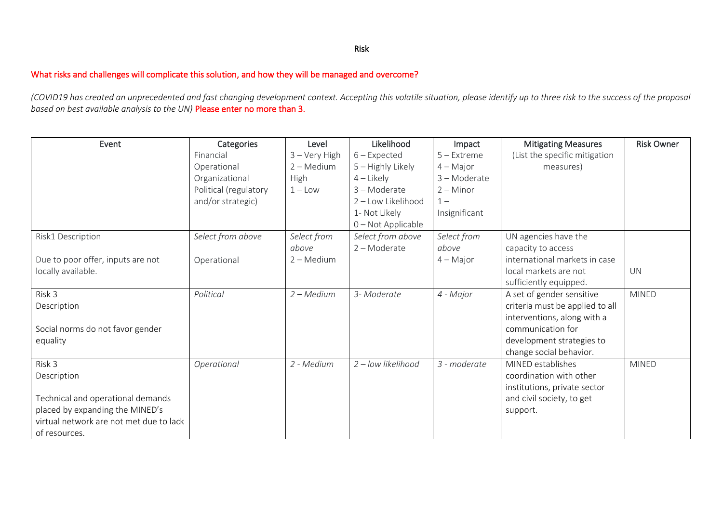### Risk

### What risks and challenges will complicate this solution, and how they will be managed and overcome?

*(COVID19 has created an unprecedented and fast changing development context. Accepting this volatile situation, please identify up to three risk to the success of the proposal based on best available analysis to the UN)* Please enter no more than 3.

| Event                                   | Categories            | Level               | Likelihood          | Impact         | <b>Mitigating Measures</b>      | <b>Risk Owner</b> |
|-----------------------------------------|-----------------------|---------------------|---------------------|----------------|---------------------------------|-------------------|
|                                         | Financial             | $3 -$ Very High     | $6$ – Expected      | $5 -$ Extreme  | (List the specific mitigation   |                   |
|                                         | Operational           | $2 - \text{Median}$ | $5 -$ Highly Likely | $4 - Major$    | measures)                       |                   |
|                                         | Organizational        | High                | $4$ – Likely        | $3 -$ Moderate |                                 |                   |
|                                         | Political (regulatory | $1 -$ Low           | 3-Moderate          | $2 -$ Minor    |                                 |                   |
|                                         | and/or strategic)     |                     | 2 - Low Likelihood  | $1 -$          |                                 |                   |
|                                         |                       |                     | 1- Not Likely       | Insignificant  |                                 |                   |
|                                         |                       |                     | 0 - Not Applicable  |                |                                 |                   |
| Risk1 Description                       | Select from above     | Select from         | Select from above   | Select from    | UN agencies have the            |                   |
|                                         |                       | above               | $2 -$ Moderate      | above          | capacity to access              |                   |
| Due to poor offer, inputs are not       | Operational           | $2 - \text{Median}$ |                     | $4 - Major$    | international markets in case   |                   |
| locally available.                      |                       |                     |                     |                | local markets are not           | <b>UN</b>         |
|                                         |                       |                     |                     |                | sufficiently equipped.          |                   |
| Risk 3                                  | Political             | $2 - Medium$        | 3- Moderate         | 4 - Major      | A set of gender sensitive       | <b>MINED</b>      |
| Description                             |                       |                     |                     |                | criteria must be applied to all |                   |
|                                         |                       |                     |                     |                | interventions, along with a     |                   |
| Social norms do not favor gender        |                       |                     |                     |                | communication for               |                   |
| equality                                |                       |                     |                     |                | development strategies to       |                   |
|                                         |                       |                     |                     |                | change social behavior.         |                   |
| Risk 3                                  | Operational           | 2 - Medium          | 2 - Iow likelihood  | 3 - moderate   | MINED establishes               | <b>MINED</b>      |
| Description                             |                       |                     |                     |                | coordination with other         |                   |
|                                         |                       |                     |                     |                | institutions, private sector    |                   |
| Technical and operational demands       |                       |                     |                     |                | and civil society, to get       |                   |
| placed by expanding the MINED's         |                       |                     |                     |                | support.                        |                   |
| virtual network are not met due to lack |                       |                     |                     |                |                                 |                   |
| of resources.                           |                       |                     |                     |                |                                 |                   |